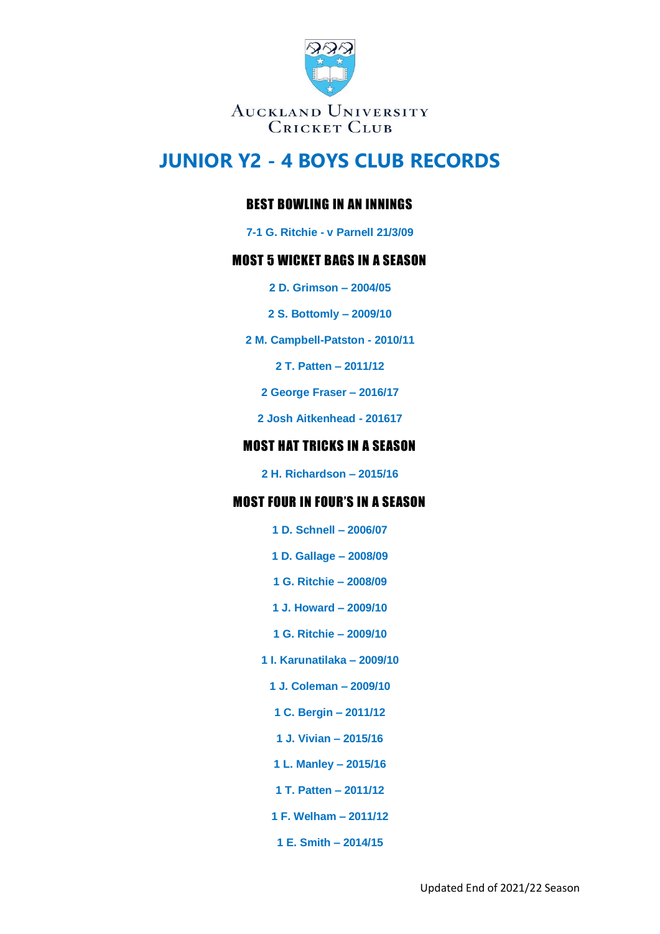

# **JUNIOR Y2 - 4 BOYS CLUB RECORDS**

## BEST BOWLING IN AN INNINGS

**7-1 G. Ritchie - v Parnell 21/3/09**

### MOST 5 WICKET BAGS IN A SEASON

- **2 D. Grimson – 2004/05**
- **2 S. Bottomly – 2009/10**
- **2 M. Campbell-Patston - 2010/11**

**2 T. Patten – 2011/12**

**2 George Fraser – 2016/17**

**2 Josh Aitkenhead - 201617**

#### MOST HAT TRICKS IN A SEASON

**2 H. Richardson – 2015/16**

#### MOST FOUR IN FOUR'S IN A SEASON

- **1 D. Schnell – 2006/07**
- **1 D. Gallage – 2008/09**
- **1 G. Ritchie – 2008/09**
- **1 J. Howard – 2009/10**
- **1 G. Ritchie – 2009/10**
- **1 I. Karunatilaka – 2009/10**
	- **1 J. Coleman – 2009/10**
	- **1 C. Bergin – 2011/12**
	- **1 J. Vivian – 2015/16**
	- **1 L. Manley – 2015/16**
	- **1 T. Patten – 2011/12**
	- **1 F. Welham – 2011/12**
	- **1 E. Smith – 2014/15**